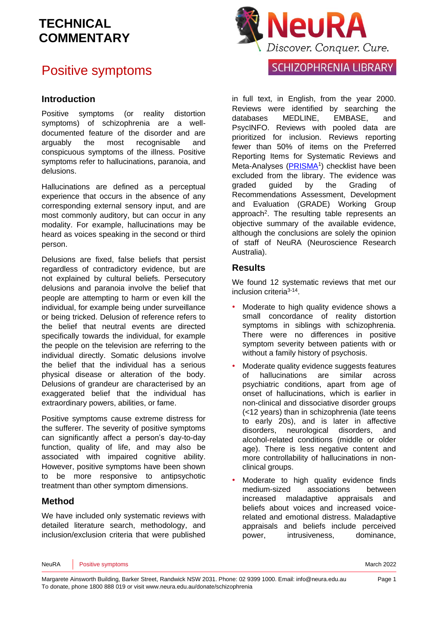## Positive symptoms

### **Introduction**

Positive symptoms (or reality distortion symptoms) of schizophrenia are a welldocumented feature of the disorder and are arguably the most recognisable and conspicuous symptoms of the illness. Positive symptoms refer to hallucinations, paranoia, and delusions.

Hallucinations are defined as a perceptual experience that occurs in the absence of any corresponding external sensory input, and are most commonly auditory, but can occur in any modality. For example, hallucinations may be heard as voices speaking in the second or third person.

Delusions are fixed, false beliefs that persist regardless of contradictory evidence, but are not explained by cultural beliefs. Persecutory delusions and paranoia involve the belief that people are attempting to harm or even kill the individual, for example being under surveillance or being tricked. Delusion of reference refers to the belief that neutral events are directed specifically towards the individual, for example the people on the television are referring to the individual directly. Somatic delusions involve the belief that the individual has a serious physical disease or alteration of the body. Delusions of grandeur are characterised by an exaggerated belief that the individual has extraordinary powers, abilities, or fame.

Positive symptoms cause extreme distress for the sufferer. The severity of positive symptoms can significantly affect a person's day-to-day function, quality of life, and may also be associated with impaired cognitive ability. However, positive symptoms have been shown to be more responsive to antipsychotic treatment than other symptom dimensions.

### **Method**

We have included only systematic reviews with detailed literature search, methodology, and inclusion/exclusion criteria that were published



### **SCHIZOPHRENIA LIBRARY**

in full text, in English, from the year 2000. Reviews were identified by searching the databases MEDLINE, EMBASE, and PsycINFO. Reviews with pooled data are prioritized for inclusion. Reviews reporting fewer than 50% of items on the Preferred Reporting Items for Systematic Reviews and Meta-Analyses [\(PRISMA](http://www.prisma-statement.org/)<sup>1</sup>) checklist have been excluded from the library. The evidence was graded guided by the Grading of Recommendations Assessment, Development and Evaluation [\(GRADE\)](http://www.gradeworkinggroup.org/) Working Group approach<sup>2</sup>. The resulting table represents an objective summary of the available evidence, although the conclusions are solely the opinion of staff of NeuRA (Neuroscience Research Australia).

### **Results**

We found 12 systematic reviews that met our inclusion criteria<sup>3-14</sup>.

- Moderate to high quality evidence shows a small concordance of reality distortion symptoms in siblings with schizophrenia. There were no differences in positive symptom severity between patients with or without a family history of psychosis.
- Moderate quality evidence suggests features of hallucinations are similar across psychiatric conditions, apart from age of onset of hallucinations, which is earlier in non-clinical and dissociative disorder groups (<12 years) than in schizophrenia (late teens to early 20s), and is later in affective disorders, neurological disorders, and alcohol-related conditions (middle or older age). There is less negative content and more controllability of hallucinations in nonclinical groups.
- Moderate to high quality evidence finds medium-sized associations between increased maladaptive appraisals and beliefs about voices and increased voicerelated and emotional distress. Maladaptive appraisals and beliefs include perceived power, intrusiveness, dominance,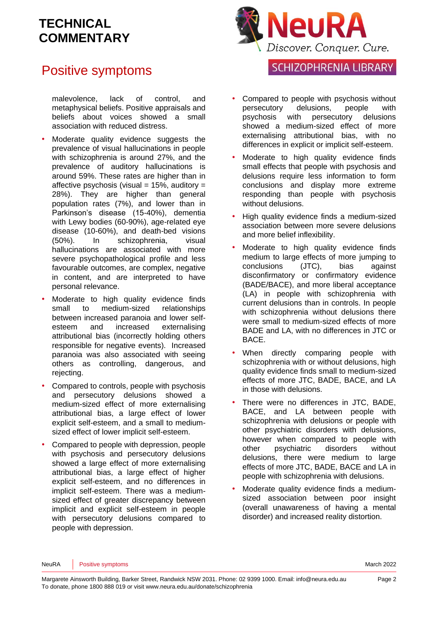## Positive symptoms

malevolence, lack of control, and metaphysical beliefs. Positive appraisals and beliefs about voices showed a small association with reduced distress.

- Moderate quality evidence suggests the prevalence of visual hallucinations in people with schizophrenia is around 27%, and the prevalence of auditory hallucinations is around 59%. These rates are higher than in affective psychosis (visual  $= 15\%$ , auditory  $=$ 28%). They are higher than general population rates (7%), and lower than in Parkinson's disease (15-40%), dementia with Lewy bodies (60-90%), age-related eye disease (10-60%), and death-bed visions (50%). In schizophrenia, visual hallucinations are associated with more severe psychopathological profile and less favourable outcomes, are complex, negative in content, and are interpreted to have personal relevance.
- Moderate to high quality evidence finds small to medium-sized relationships between increased paranoia and lower selfesteem and increased externalising attributional bias (incorrectly holding others responsible for negative events). Increased paranoia was also associated with seeing others as controlling, dangerous, and rejecting.
- Compared to controls, people with psychosis and persecutory delusions showed a medium-sized effect of more externalising attributional bias, a large effect of lower explicit self-esteem, and a small to mediumsized effect of lower implicit self-esteem.
- Compared to people with depression, people with psychosis and persecutory delusions showed a large effect of more externalising attributional bias, a large effect of higher explicit self-esteem, and no differences in implicit self-esteem. There was a mediumsized effect of greater discrepancy between implicit and explicit self-esteem in people with persecutory delusions compared to people with depression.



### **SCHIZOPHRENIA LIBRARY**

- Compared to people with psychosis without persecutory delusions, people with psychosis with persecutory delusions showed a medium-sized effect of more externalising attributional bias, with no differences in explicit or implicit self-esteem.
- Moderate to high quality evidence finds small effects that people with psychosis and delusions require less information to form conclusions and display more extreme responding than people with psychosis without delusions.
- High quality evidence finds a medium-sized association between more severe delusions and more belief inflexibility.
- Moderate to high quality evidence finds medium to large effects of more jumping to conclusions (JTC), bias against disconfirmatory or confirmatory evidence (BADE/BACE), and more liberal acceptance (LA) in people with schizophrenia with current delusions than in controls. In people with schizophrenia without delusions there were small to medium-sized effects of more BADE and LA, with no differences in JTC or BACE.
- When directly comparing people with schizophrenia with or without delusions, high quality evidence finds small to medium-sized effects of more JTC, BADE, BACE, and LA in those with delusions.
- There were no differences in JTC, BADE, BACE, and LA between people with schizophrenia with delusions or people with other psychiatric disorders with delusions, however when compared to people with other psychiatric disorders without delusions, there were medium to large effects of more JTC, BADE, BACE and LA in people with schizophrenia with delusions.
- Moderate quality evidence finds a mediumsized association between poor insight (overall unawareness of having a mental disorder) and increased reality distortion.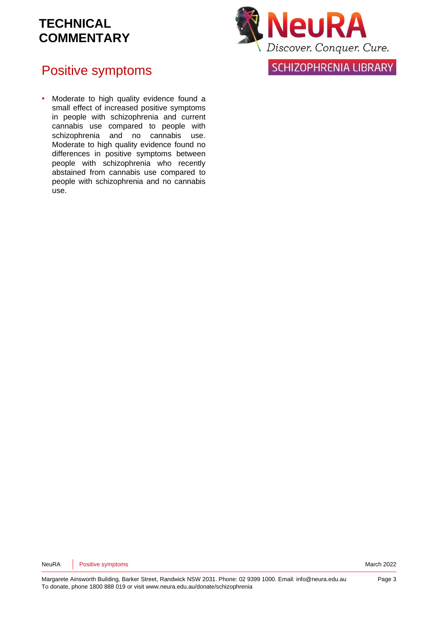## Positive symptoms

• Moderate to high quality evidence found a small effect of increased positive symptoms in people with schizophrenia and current cannabis use compared to people with schizophrenia and no cannabis use. Moderate to high quality evidence found no differences in positive symptoms between people with schizophrenia who recently abstained from cannabis use compared to people with schizophrenia and no cannabis use.



SCHIZOPHRENIA LIBRARY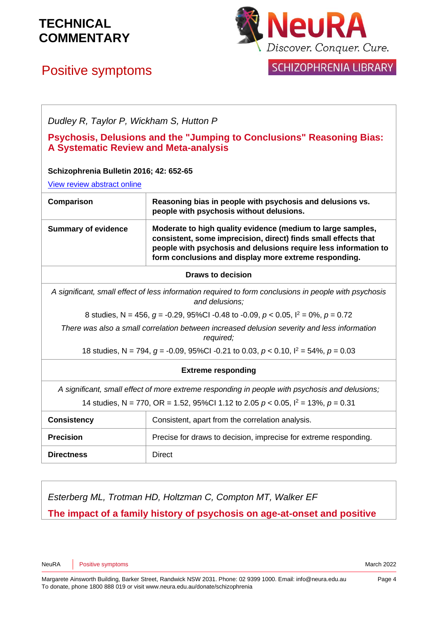# Positive symptoms



### SCHIZOPHRENIA LIBRARY

| Dudley R, Taylor P, Wickham S, Hutton P      |                                                                                                                                                                                                                                                           |
|----------------------------------------------|-----------------------------------------------------------------------------------------------------------------------------------------------------------------------------------------------------------------------------------------------------------|
| <b>A Systematic Review and Meta-analysis</b> | Psychosis, Delusions and the "Jumping to Conclusions" Reasoning Bias:                                                                                                                                                                                     |
| Schizophrenia Bulletin 2016; 42: 652-65      |                                                                                                                                                                                                                                                           |
| View review abstract online                  |                                                                                                                                                                                                                                                           |
| Comparison                                   | Reasoning bias in people with psychosis and delusions vs.<br>people with psychosis without delusions.                                                                                                                                                     |
| <b>Summary of evidence</b>                   | Moderate to high quality evidence (medium to large samples,<br>consistent, some imprecision, direct) finds small effects that<br>people with psychosis and delusions require less information to<br>form conclusions and display more extreme responding. |
|                                              | <b>Draws to decision</b>                                                                                                                                                                                                                                  |
|                                              | A significant, small effect of less information required to form conclusions in people with psychosis<br>and delusions;                                                                                                                                   |
|                                              | 8 studies, N = 456, g = -0.29, 95%Cl -0.48 to -0.09, $p < 0.05$ , $l^2 = 0$ %, $p = 0.72$                                                                                                                                                                 |
|                                              | There was also a small correlation between increased delusion severity and less information<br>required;                                                                                                                                                  |
|                                              | 18 studies, N = 794, $g = -0.09$ , 95%CI -0.21 to 0.03, $p < 0.10$ , $l^2 = 54\%$ , $p = 0.03$                                                                                                                                                            |
|                                              | <b>Extreme responding</b>                                                                                                                                                                                                                                 |
|                                              | A significant, small effect of more extreme responding in people with psychosis and delusions;                                                                                                                                                            |

14 studies, N = 770, OR = 1.52, 95%CI 1.12 to 2.05 *p* < 0.05, I<sup>2</sup> = 13%, *p* = 0.31

| <b>Consistency</b> | Consistent, apart from the correlation analysis.                 |
|--------------------|------------------------------------------------------------------|
| <b>Precision</b>   | Precise for draws to decision, imprecise for extreme responding. |
| <b>Directness</b>  | Direct                                                           |

*Esterberg ML, Trotman HD, Holtzman C, Compton MT, Walker EF* **The impact of a family history of psychosis on age-at-onset and positive**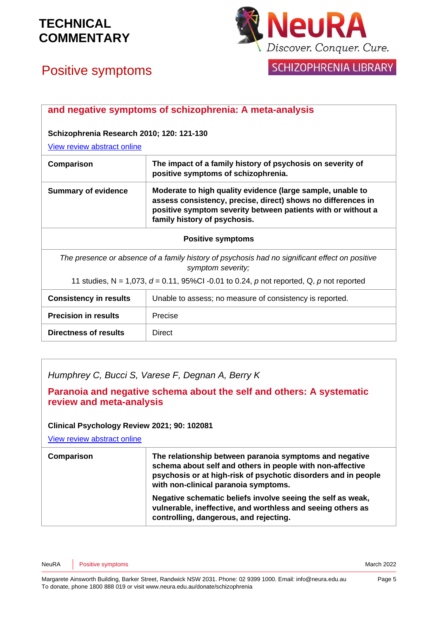

SCHIZOPHRENIA LIBRARY

# Positive symptoms

| and negative symptoms of schizophrenia: A meta-analysis                                                             |                                                                                                                                                                                                                            |  |
|---------------------------------------------------------------------------------------------------------------------|----------------------------------------------------------------------------------------------------------------------------------------------------------------------------------------------------------------------------|--|
| Schizophrenia Research 2010; 120: 121-130<br>View review abstract online                                            |                                                                                                                                                                                                                            |  |
| Comparison                                                                                                          | The impact of a family history of psychosis on severity of<br>positive symptoms of schizophrenia.                                                                                                                          |  |
| <b>Summary of evidence</b>                                                                                          | Moderate to high quality evidence (large sample, unable to<br>assess consistency, precise, direct) shows no differences in<br>positive symptom severity between patients with or without a<br>family history of psychosis. |  |
| <b>Positive symptoms</b>                                                                                            |                                                                                                                                                                                                                            |  |
| The presence or absence of a family history of psychosis had no significant effect on positive<br>symptom severity; |                                                                                                                                                                                                                            |  |
| 11 studies, N = 1,073, $d = 0.11$ , 95%CI -0.01 to 0.24, p not reported, Q, p not reported                          |                                                                                                                                                                                                                            |  |
| <b>Consistency in results</b>                                                                                       | Unable to assess; no measure of consistency is reported.                                                                                                                                                                   |  |
| <b>Precision in results</b>                                                                                         | Precise                                                                                                                                                                                                                    |  |
| Directness of results                                                                                               | <b>Direct</b>                                                                                                                                                                                                              |  |

*Humphrey C, Bucci S, Varese F, Degnan A, Berry K*

**Paranoia and negative schema about the self and others: A systematic review and meta-analysis** 

### **Clinical Psychology Review 2021; 90: 102081**

[View review abstract online](https://pubmed.ncbi.nlm.nih.gov/34564019/)

| Comparison | The relationship between paranoia symptoms and negative<br>schema about self and others in people with non-affective<br>psychosis or at high-risk of psychotic disorders and in people<br>with non-clinical paranoia symptoms. |
|------------|--------------------------------------------------------------------------------------------------------------------------------------------------------------------------------------------------------------------------------|
|            | Negative schematic beliefs involve seeing the self as weak,<br>vulnerable, ineffective, and worthless and seeing others as<br>controlling, dangerous, and rejecting.                                                           |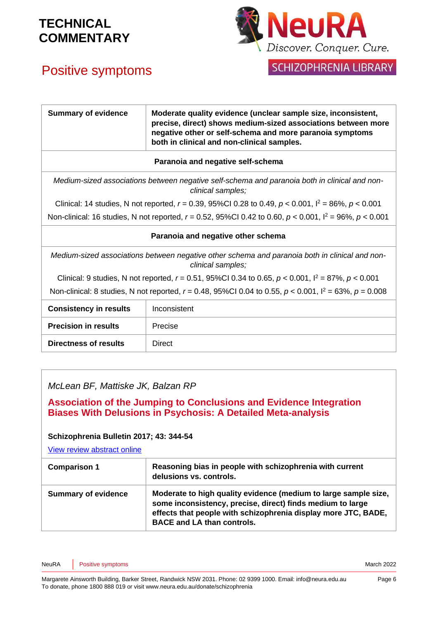# Positive symptoms



### SCHIZOPHRENIA LIBRARY

| <b>Summary of evidence</b>                                                                                          | Moderate quality evidence (unclear sample size, inconsistent,<br>precise, direct) shows medium-sized associations between more<br>negative other or self-schema and more paranoia symptoms |  |
|---------------------------------------------------------------------------------------------------------------------|--------------------------------------------------------------------------------------------------------------------------------------------------------------------------------------------|--|
|                                                                                                                     | both in clinical and non-clinical samples.                                                                                                                                                 |  |
| Paranoia and negative self-schema                                                                                   |                                                                                                                                                                                            |  |
|                                                                                                                     | Medium-sized associations between negative self-schema and paranoia both in clinical and non-<br>clinical samples:                                                                         |  |
| Clinical: 14 studies, N not reported, $r = 0.39$ , 95%CI 0.28 to 0.49, $p < 0.001$ , $l^2 = 86\%$ , $p < 0.001$     |                                                                                                                                                                                            |  |
| Non-clinical: 16 studies, N not reported, $r = 0.52$ , 95%Cl 0.42 to 0.60, $p < 0.001$ , $l^2 = 96\%$ , $p < 0.001$ |                                                                                                                                                                                            |  |
| Paranoia and negative other schema                                                                                  |                                                                                                                                                                                            |  |
| Medium-sized associations between negative other schema and paranoia both in clinical and non-<br>clinical samples; |                                                                                                                                                                                            |  |
| Clinical: 9 studies, N not reported, $r = 0.51$ , 95%Cl 0.34 to 0.65, $p < 0.001$ , $l^2 = 87$ %, $p < 0.001$       |                                                                                                                                                                                            |  |
| Non-clinical: 8 studies, N not reported, $r = 0.48$ , 95%Cl 0.04 to 0.55, $p < 0.001$ , $l^2 = 63\%$ , $p = 0.008$  |                                                                                                                                                                                            |  |
| <b>Consistency in results</b>                                                                                       | Inconsistent                                                                                                                                                                               |  |
| <b>Precision in results</b>                                                                                         | Precise                                                                                                                                                                                    |  |
| Directness of results                                                                                               | <b>Direct</b>                                                                                                                                                                              |  |
|                                                                                                                     |                                                                                                                                                                                            |  |

*McLean BF, Mattiske JK, Balzan RP*

**Association of the Jumping to Conclusions and Evidence Integration Biases With Delusions in Psychosis: A Detailed Meta-analysis** 

### **Schizophrenia Bulletin 2017; 43: 344-54**

[View review abstract online](https://www.ncbi.nlm.nih.gov/pubmed/27169465)

| <b>Comparison 1</b>        | Reasoning bias in people with schizophrenia with current                                                                                                                                                                             |
|----------------------------|--------------------------------------------------------------------------------------------------------------------------------------------------------------------------------------------------------------------------------------|
|                            | delusions vs. controls.                                                                                                                                                                                                              |
| <b>Summary of evidence</b> | Moderate to high quality evidence (medium to large sample size,<br>some inconsistency, precise, direct) finds medium to large<br>effects that people with schizophrenia display more JTC, BADE,<br><b>BACE and LA than controls.</b> |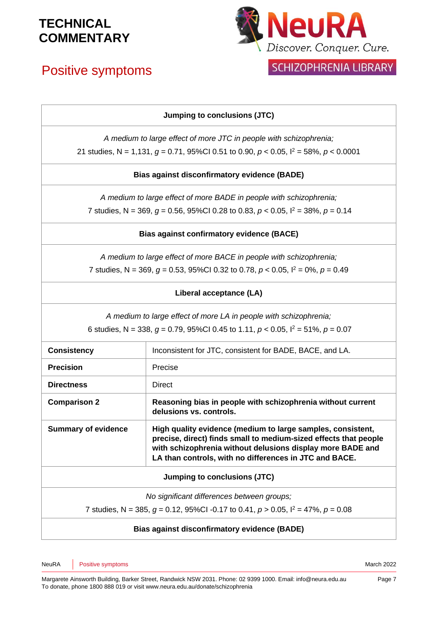# Positive symptoms



## SCHIZOPHRENIA LIBRARY

### **Jumping to conclusions (JTC)**

*A medium to large effect of more JTC in people with schizophrenia;* 21 studies, N = 1,131, *g* = 0.71, 95%CI 0.51 to 0.90, *p* < 0.05, I<sup>2</sup> = 58%, *p* < 0.0001

### **Bias against disconfirmatory evidence (BADE)**

*A medium to large effect of more BADE in people with schizophrenia;*

7 studies, N = 369,  $q = 0.56$ , 95%CI 0.28 to 0.83,  $p < 0.05$ ,  $l^2 = 38$ %,  $p = 0.14$ 

### **Bias against confirmatory evidence (BACE)**

*A medium to large effect of more BACE in people with schizophrenia;* 7 studies, N = 369, *g* = 0.53, 95%CI 0.32 to 0.78, *p* < 0.05, I<sup>2</sup> = 0%, *p* = 0.49

### **Liberal acceptance (LA)**

*A medium to large effect of more LA in people with schizophrenia;*

6 studies, N = 338,  $q = 0.79$ , 95%CI 0.45 to 1.11,  $p < 0.05$ ,  $l^2 = 51\%$ ,  $p = 0.07$ 

| <b>Consistency</b>                                                                          | Inconsistent for JTC, consistent for BADE, BACE, and LA.                                                                                                                                                                                                |
|---------------------------------------------------------------------------------------------|---------------------------------------------------------------------------------------------------------------------------------------------------------------------------------------------------------------------------------------------------------|
| <b>Precision</b>                                                                            | Precise                                                                                                                                                                                                                                                 |
| <b>Directness</b>                                                                           | Direct                                                                                                                                                                                                                                                  |
| <b>Comparison 2</b>                                                                         | Reasoning bias in people with schizophrenia without current<br>delusions vs. controls.                                                                                                                                                                  |
| <b>Summary of evidence</b>                                                                  | High quality evidence (medium to large samples, consistent,<br>precise, direct) finds small to medium-sized effects that people<br>with schizophrenia without delusions display more BADE and<br>LA than controls, with no differences in JTC and BACE. |
| Jumping to conclusions (JTC)                                                                |                                                                                                                                                                                                                                                         |
| No significant differences between groups;                                                  |                                                                                                                                                                                                                                                         |
| 7 studies, N = 385, $q = 0.12$ , 95%Cl -0.17 to 0.41, $p > 0.05$ , $l^2 = 47$ %, $p = 0.08$ |                                                                                                                                                                                                                                                         |
|                                                                                             |                                                                                                                                                                                                                                                         |

### **Bias against disconfirmatory evidence (BADE)**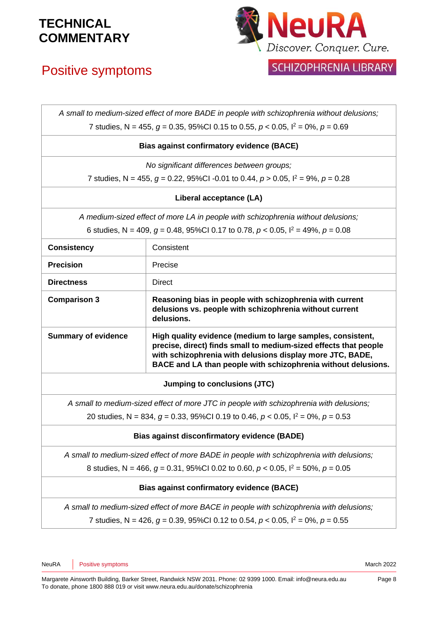# Positive symptoms



SCHIZOPHRENIA LIBRARY

|                                                                                             | A small to medium-sized effect of more BADE in people with schizophrenia without delusions;                                                                                                                                                                   |  |
|---------------------------------------------------------------------------------------------|---------------------------------------------------------------------------------------------------------------------------------------------------------------------------------------------------------------------------------------------------------------|--|
| 7 studies, N = 455, $g = 0.35$ , 95%Cl 0.15 to 0.55, $p < 0.05$ , $l^2 = 0$ %, $p = 0.69$   |                                                                                                                                                                                                                                                               |  |
| <b>Bias against confirmatory evidence (BACE)</b>                                            |                                                                                                                                                                                                                                                               |  |
|                                                                                             | No significant differences between groups;                                                                                                                                                                                                                    |  |
|                                                                                             | 7 studies, N = 455, $g = 0.22$ , 95%Cl -0.01 to 0.44, $p > 0.05$ , $l^2 = 9\%$ , $p = 0.28$                                                                                                                                                                   |  |
|                                                                                             | Liberal acceptance (LA)                                                                                                                                                                                                                                       |  |
|                                                                                             | A medium-sized effect of more LA in people with schizophrenia without delusions;                                                                                                                                                                              |  |
|                                                                                             | 6 studies, N = 409, $g = 0.48$ , 95%Cl 0.17 to 0.78, $p < 0.05$ , $l^2 = 49$ %, $p = 0.08$                                                                                                                                                                    |  |
| <b>Consistency</b>                                                                          | Consistent                                                                                                                                                                                                                                                    |  |
| <b>Precision</b>                                                                            | Precise                                                                                                                                                                                                                                                       |  |
| <b>Directness</b>                                                                           | <b>Direct</b>                                                                                                                                                                                                                                                 |  |
| <b>Comparison 3</b>                                                                         | Reasoning bias in people with schizophrenia with current<br>delusions vs. people with schizophrenia without current<br>delusions.                                                                                                                             |  |
| <b>Summary of evidence</b>                                                                  | High quality evidence (medium to large samples, consistent,<br>precise, direct) finds small to medium-sized effects that people<br>with schizophrenia with delusions display more JTC, BADE,<br>BACE and LA than people with schizophrenia without delusions. |  |
| Jumping to conclusions (JTC)                                                                |                                                                                                                                                                                                                                                               |  |
| A small to medium-sized effect of more JTC in people with schizophrenia with delusions;     |                                                                                                                                                                                                                                                               |  |
| 20 studies, N = 834, $g = 0.33$ , 95%Cl 0.19 to 0.46, $p < 0.05$ , $l^2 = 0$ %, $p = 0.53$  |                                                                                                                                                                                                                                                               |  |
| <b>Bias against disconfirmatory evidence (BADE)</b>                                         |                                                                                                                                                                                                                                                               |  |
| A small to medium-sized effect of more BADE in people with schizophrenia with delusions;    |                                                                                                                                                                                                                                                               |  |
| 8 studies, N = 466, $g = 0.31$ , 95%Cl 0.02 to 0.60, $p < 0.05$ , $l^2 = 50\%$ , $p = 0.05$ |                                                                                                                                                                                                                                                               |  |
| <b>Bias against confirmatory evidence (BACE)</b>                                            |                                                                                                                                                                                                                                                               |  |
| A small to medium-sized effect of more BACE in people with schizophrenia with delusions;    |                                                                                                                                                                                                                                                               |  |
| 7 studies, N = 426, $g = 0.39$ , 95%Cl 0.12 to 0.54, $p < 0.05$ , $l^2 = 0$ %, $p = 0.55$   |                                                                                                                                                                                                                                                               |  |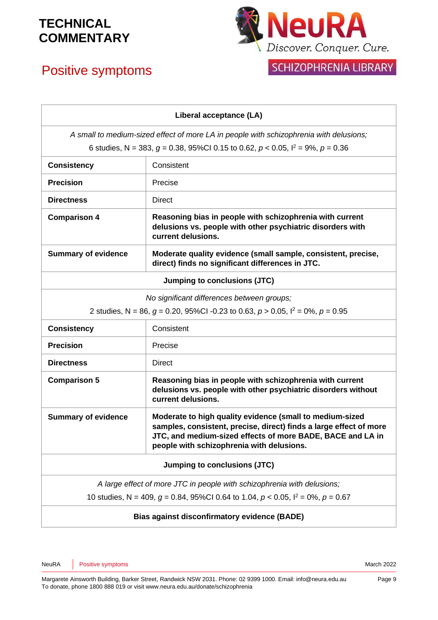# Positive symptoms



## SCHIZOPHRENIA LIBRARY

|                                                                                            | Liberal acceptance (LA)                                                                                                                                                                                                                   |  |
|--------------------------------------------------------------------------------------------|-------------------------------------------------------------------------------------------------------------------------------------------------------------------------------------------------------------------------------------------|--|
| A small to medium-sized effect of more LA in people with schizophrenia with delusions;     |                                                                                                                                                                                                                                           |  |
| 6 studies, N = 383, $g = 0.38$ , 95%Cl 0.15 to 0.62, $p < 0.05$ , $l^2 = 9\%$ , $p = 0.36$ |                                                                                                                                                                                                                                           |  |
| <b>Consistency</b>                                                                         | Consistent                                                                                                                                                                                                                                |  |
| <b>Precision</b>                                                                           | Precise                                                                                                                                                                                                                                   |  |
| <b>Directness</b>                                                                          | <b>Direct</b>                                                                                                                                                                                                                             |  |
| <b>Comparison 4</b>                                                                        | Reasoning bias in people with schizophrenia with current<br>delusions vs. people with other psychiatric disorders with<br>current delusions.                                                                                              |  |
| <b>Summary of evidence</b>                                                                 | Moderate quality evidence (small sample, consistent, precise,<br>direct) finds no significant differences in JTC.                                                                                                                         |  |
| Jumping to conclusions (JTC)                                                               |                                                                                                                                                                                                                                           |  |
| No significant differences between groups;                                                 |                                                                                                                                                                                                                                           |  |
|                                                                                            | 2 studies, N = 86, $q = 0.20$ , 95%Cl -0.23 to 0.63, $p > 0.05$ , $l^2 = 0$ %, $p = 0.95$                                                                                                                                                 |  |
| <b>Consistency</b>                                                                         | Consistent                                                                                                                                                                                                                                |  |
| <b>Precision</b>                                                                           | Precise                                                                                                                                                                                                                                   |  |
| <b>Directness</b>                                                                          | <b>Direct</b>                                                                                                                                                                                                                             |  |
| <b>Comparison 5</b>                                                                        | Reasoning bias in people with schizophrenia with current<br>delusions vs. people with other psychiatric disorders without<br>current delusions.                                                                                           |  |
| <b>Summary of evidence</b>                                                                 | Moderate to high quality evidence (small to medium-sized<br>samples, consistent, precise, direct) finds a large effect of more<br>JTC, and medium-sized effects of more BADE, BACE and LA in<br>people with schizophrenia with delusions. |  |
| Jumping to conclusions (JTC)                                                               |                                                                                                                                                                                                                                           |  |
|                                                                                            | A large effect of more JTC in people with schizophrenia with delusions;                                                                                                                                                                   |  |
| 10 studies, N = 409, $g = 0.84$ , 95%Cl 0.64 to 1.04, $p < 0.05$ , $l^2 = 0$ %, $p = 0.67$ |                                                                                                                                                                                                                                           |  |
| <b>Bias against disconfirmatory evidence (BADE)</b>                                        |                                                                                                                                                                                                                                           |  |

NeuRA Positive symptoms **March 2022**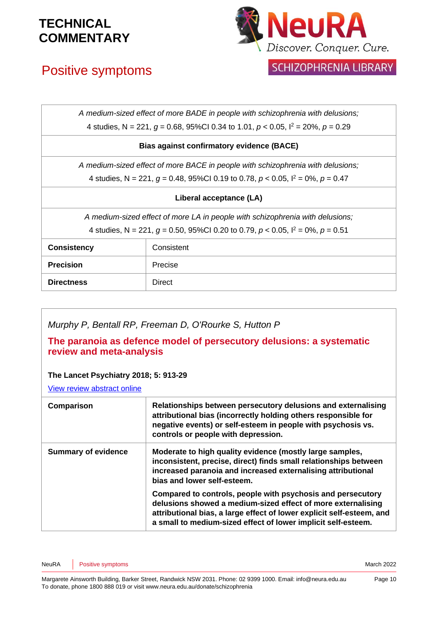# Positive symptoms



SCHIZOPHRENIA LIBRARY

| A medium-sized effect of more BADE in people with schizophrenia with delusions;            |                                                                                 |  |
|--------------------------------------------------------------------------------------------|---------------------------------------------------------------------------------|--|
| 4 studies, N = 221, $q = 0.68$ , 95%Cl 0.34 to 1.01, $p < 0.05$ , $l^2 = 20$ %, $p = 0.29$ |                                                                                 |  |
| <b>Bias against confirmatory evidence (BACE)</b>                                           |                                                                                 |  |
|                                                                                            | A medium-sized effect of more BACE in people with schizophrenia with delusions; |  |
| 4 studies, N = 221, $q = 0.48$ , 95%Cl 0.19 to 0.78, $p < 0.05$ , $l^2 = 0$ %, $p = 0.47$  |                                                                                 |  |
| Liberal acceptance (LA)                                                                    |                                                                                 |  |
| A medium-sized effect of more LA in people with schizophrenia with delusions;              |                                                                                 |  |
| 4 studies, N = 221, $q = 0.50$ , 95%Cl 0.20 to 0.79, $p < 0.05$ , $l^2 = 0$ %, $p = 0.51$  |                                                                                 |  |
| <b>Consistency</b>                                                                         | Consistent                                                                      |  |
| <b>Precision</b>                                                                           | Precise                                                                         |  |
| <b>Directness</b>                                                                          | <b>Direct</b>                                                                   |  |

### *Murphy P, Bentall RP, Freeman D, O'Rourke S, Hutton P*

### **The paranoia as defence model of persecutory delusions: a systematic review and meta-analysis**

### **The Lancet Psychiatry 2018; 5: 913-29**

[View review abstract online](https://www.thelancet.com/journals/lanpsy/article/PIIS2215-0366(18)30339-0/fulltext)

| Comparison                 | Relationships between persecutory delusions and externalising<br>attributional bias (incorrectly holding others responsible for<br>negative events) or self-esteem in people with psychosis vs.<br>controls or people with depression.                                |
|----------------------------|-----------------------------------------------------------------------------------------------------------------------------------------------------------------------------------------------------------------------------------------------------------------------|
| <b>Summary of evidence</b> | Moderate to high quality evidence (mostly large samples,<br>inconsistent, precise, direct) finds small relationships between<br>increased paranoia and increased externalising attributional<br>bias and lower self-esteem.                                           |
|                            | Compared to controls, people with psychosis and persecutory<br>delusions showed a medium-sized effect of more externalising<br>attributional bias, a large effect of lower explicit self-esteem, and<br>a small to medium-sized effect of lower implicit self-esteem. |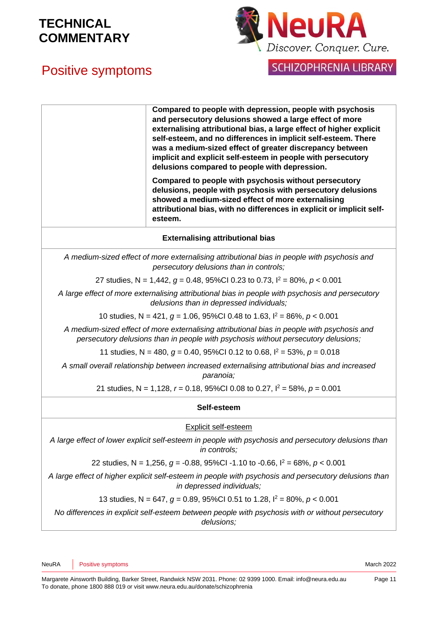



**SCHIZOPHRENIA LIBRARY** 

|                                                                                                                                                                                   | Compared to people with depression, people with psychosis<br>and persecutory delusions showed a large effect of more<br>externalising attributional bias, a large effect of higher explicit<br>self-esteem, and no differences in implicit self-esteem. There<br>was a medium-sized effect of greater discrepancy between<br>implicit and explicit self-esteem in people with persecutory<br>delusions compared to people with depression. |  |
|-----------------------------------------------------------------------------------------------------------------------------------------------------------------------------------|--------------------------------------------------------------------------------------------------------------------------------------------------------------------------------------------------------------------------------------------------------------------------------------------------------------------------------------------------------------------------------------------------------------------------------------------|--|
|                                                                                                                                                                                   | Compared to people with psychosis without persecutory<br>delusions, people with psychosis with persecutory delusions<br>showed a medium-sized effect of more externalising<br>attributional bias, with no differences in explicit or implicit self-<br>esteem.                                                                                                                                                                             |  |
|                                                                                                                                                                                   | <b>Externalising attributional bias</b>                                                                                                                                                                                                                                                                                                                                                                                                    |  |
|                                                                                                                                                                                   | A medium-sized effect of more externalising attributional bias in people with psychosis and<br>persecutory delusions than in controls;                                                                                                                                                                                                                                                                                                     |  |
| 27 studies, N = 1,442, $g = 0.48$ , 95%Cl 0.23 to 0.73, $l^2 = 80\%$ , $p < 0.001$                                                                                                |                                                                                                                                                                                                                                                                                                                                                                                                                                            |  |
| A large effect of more externalising attributional bias in people with psychosis and persecutory<br>delusions than in depressed individuals;                                      |                                                                                                                                                                                                                                                                                                                                                                                                                                            |  |
| 10 studies, N = 421, $g = 1.06$ , 95%Cl 0.48 to 1.63, $l^2 = 86\%$ , $p < 0.001$                                                                                                  |                                                                                                                                                                                                                                                                                                                                                                                                                                            |  |
| A medium-sized effect of more externalising attributional bias in people with psychosis and<br>persecutory delusions than in people with psychosis without persecutory delusions; |                                                                                                                                                                                                                                                                                                                                                                                                                                            |  |
| 11 studies, N = 480, $g = 0.40$ , 95%CI 0.12 to 0.68, $I^2 = 53$ %, $p = 0.018$                                                                                                   |                                                                                                                                                                                                                                                                                                                                                                                                                                            |  |
| A small overall relationship between increased externalising attributional bias and increased<br>paranoia;                                                                        |                                                                                                                                                                                                                                                                                                                                                                                                                                            |  |
|                                                                                                                                                                                   | 21 studies, N = 1,128, $r = 0.18$ , 95%Cl 0.08 to 0.27, $I^2 = 58$ %, $p = 0.001$                                                                                                                                                                                                                                                                                                                                                          |  |
| Self-esteem                                                                                                                                                                       |                                                                                                                                                                                                                                                                                                                                                                                                                                            |  |
|                                                                                                                                                                                   | Explicit self-esteem                                                                                                                                                                                                                                                                                                                                                                                                                       |  |
|                                                                                                                                                                                   | A large effect of lower explicit self-esteem in people with psychosis and persecutory delusions than<br>in controls;                                                                                                                                                                                                                                                                                                                       |  |
|                                                                                                                                                                                   | 22 studies, N = 1,256, $g = -0.88$ , 95%Cl -1.10 to -0.66, $l^2 = 68$ %, $p < 0.001$                                                                                                                                                                                                                                                                                                                                                       |  |
| A large effect of higher explicit self-esteem in people with psychosis and persecutory delusions than<br>in depressed individuals;                                                |                                                                                                                                                                                                                                                                                                                                                                                                                                            |  |
| 13 studies, N = 647, $g = 0.89$ , 95%Cl 0.51 to 1.28, $I^2 = 80\%$ , $p < 0.001$                                                                                                  |                                                                                                                                                                                                                                                                                                                                                                                                                                            |  |

*No differences in explicit self-esteem between people with psychosis with or without persecutory delusions;*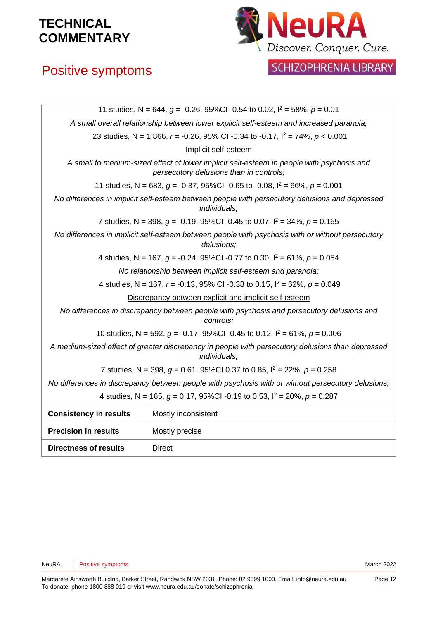# Positive symptoms



## SCHIZOPHRENIA LIBRARY

| 11 studies, N = 644, $g = -0.26$ , 95%Cl -0.54 to 0.02, $l^2 = 58$ %, $p = 0.01$                                 |                                                                                                                                      |  |
|------------------------------------------------------------------------------------------------------------------|--------------------------------------------------------------------------------------------------------------------------------------|--|
| A small overall relationship between lower explicit self-esteem and increased paranoia;                          |                                                                                                                                      |  |
|                                                                                                                  | 23 studies, N = 1,866, $r = -0.26$ , 95% CI -0.34 to -0.17, $l^2 = 74\%$ , $p < 0.001$                                               |  |
|                                                                                                                  | Implicit self-esteem                                                                                                                 |  |
|                                                                                                                  | A small to medium-sized effect of lower implicit self-esteem in people with psychosis and<br>persecutory delusions than in controls; |  |
|                                                                                                                  | 11 studies, N = 683, $q = -0.37$ , 95%Cl -0.65 to -0.08, $l^2 = 66\%$ , $p = 0.001$                                                  |  |
| No differences in implicit self-esteem between people with persecutory delusions and depressed<br>individuals;   |                                                                                                                                      |  |
| 7 studies, N = 398, $g = -0.19$ , 95%Cl -0.45 to 0.07, $l^2 = 34\%$ , $p = 0.165$                                |                                                                                                                                      |  |
| No differences in implicit self-esteem between people with psychosis with or without persecutory<br>delusions;   |                                                                                                                                      |  |
|                                                                                                                  | 4 studies, N = 167, $g = -0.24$ , 95%Cl -0.77 to 0.30, $l^2 = 61\%$ , $p = 0.054$                                                    |  |
|                                                                                                                  | No relationship between implicit self-esteem and paranoia;                                                                           |  |
| 4 studies, N = 167, $r = -0.13$ , 95% CI -0.38 to 0.15, $I^2 = 62\%$ , $p = 0.049$                               |                                                                                                                                      |  |
|                                                                                                                  | Discrepancy between explicit and implicit self-esteem                                                                                |  |
|                                                                                                                  | No differences in discrepancy between people with psychosis and persecutory delusions and<br>controls;                               |  |
| 10 studies, N = 592, $g = -0.17$ , 95%Cl -0.45 to 0.12, $l^2 = 61\%$ , $p = 0.006$                               |                                                                                                                                      |  |
| A medium-sized effect of greater discrepancy in people with persecutory delusions than depressed<br>individuals: |                                                                                                                                      |  |
| 7 studies, N = 398, $q = 0.61$ , 95%Cl 0.37 to 0.85, $l^2 = 22\%$ , $p = 0.258$                                  |                                                                                                                                      |  |
| No differences in discrepancy between people with psychosis with or without persecutory delusions;               |                                                                                                                                      |  |
| 4 studies, N = 165, $g = 0.17$ , 95%Cl -0.19 to 0.53, $l^2 = 20\%$ , $p = 0.287$                                 |                                                                                                                                      |  |
| <b>Consistency in results</b>                                                                                    | Mostly inconsistent                                                                                                                  |  |
| <b>Precision in results</b>                                                                                      | Mostly precise                                                                                                                       |  |
| <b>Directness of results</b>                                                                                     | <b>Direct</b>                                                                                                                        |  |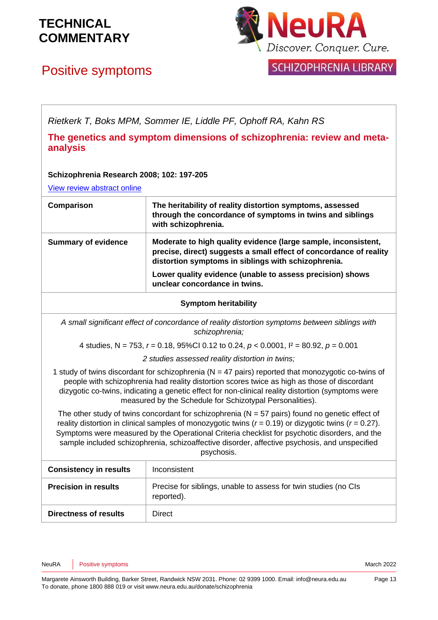# Positive symptoms



**SCHIZOPHRENIA LIBRARY** 

*Rietkerk T, Boks MPM, Sommer IE, Liddle PF, Ophoff RA, Kahn RS*

**The genetics and symptom dimensions of schizophrenia: review and metaanalysis**

### **Schizophrenia Research 2008; 102: 197-205**

[View review abstract online](http://www.ncbi.nlm.nih.gov/pubmed/18328672)

| Comparison                 | The heritability of reality distortion symptoms, assessed<br>through the concordance of symptoms in twins and siblings<br>with schizophrenia.                                               |
|----------------------------|---------------------------------------------------------------------------------------------------------------------------------------------------------------------------------------------|
| <b>Summary of evidence</b> | Moderate to high quality evidence (large sample, inconsistent,<br>precise, direct) suggests a small effect of concordance of reality<br>distortion symptoms in siblings with schizophrenia. |
|                            | Lower quality evidence (unable to assess precision) shows<br>unclear concordance in twins.                                                                                                  |

### **Symptom heritability**

*A small significant effect of concordance of reality distortion symptoms between siblings with schizophrenia;*

4 studies, N = 753, *r* = 0.18, 95%CI 0.12 to 0.24, *p* < 0.0001, I² = 80.92, *p* = 0.001

*2 studies assessed reality distortion in twins;*

1 study of twins discordant for schizophrenia ( $N = 47$  pairs) reported that monozygotic co-twins of people with schizophrenia had reality distortion scores twice as high as those of discordant dizygotic co-twins, indicating a genetic effect for non-clinical reality distortion (symptoms were measured by the Schedule for Schizotypal Personalities).

The other study of twins concordant for schizophrenia ( $N = 57$  pairs) found no genetic effect of reality distortion in clinical samples of monozygotic twins (*r* = 0.19) or dizygotic twins (*r* = 0.27). Symptoms were measured by the Operational Criteria checklist for psychotic disorders, and the sample included schizophrenia, schizoaffective disorder, affective psychosis, and unspecified psychosis.

| <b>Consistency in results</b> | Inconsistent                                                                  |
|-------------------------------|-------------------------------------------------------------------------------|
| <b>Precision in results</b>   | Precise for siblings, unable to assess for twin studies (no CIs<br>reported). |
| Directness of results         | <b>Direct</b>                                                                 |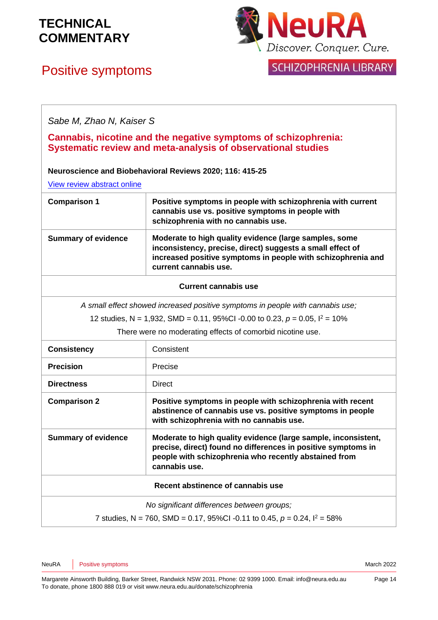# **NeuRA** Discover. Conquer. Cure.

## SCHIZOPHRENIA LIBRARY

# Positive symptoms

*Sabe M, Zhao N, Kaiser S*

### **Cannabis, nicotine and the negative symptoms of schizophrenia: Systematic review and meta-analysis of observational studies**

### **Neuroscience and Biobehavioral Reviews 2020; 116: 415-25**

[View review abstract online](https://www.sciencedirect.com/science/article/pii/S0149763420304681)

| <b>Comparison 1</b>        | Positive symptoms in people with schizophrenia with current<br>cannabis use vs. positive symptoms in people with<br>schizophrenia with no cannabis use.                                                       |
|----------------------------|---------------------------------------------------------------------------------------------------------------------------------------------------------------------------------------------------------------|
| <b>Summary of evidence</b> | Moderate to high quality evidence (large samples, some<br>inconsistency, precise, direct) suggests a small effect of<br>increased positive symptoms in people with schizophrenia and<br>current cannabis use. |

### **Current cannabis use**

*A small effect showed increased positive symptoms in people with cannabis use;*

12 studies, N = 1,932, SMD = 0.11, 95%CI -0.00 to 0.23, *p* = 0.05, I<sup>2</sup> = 10%

There were no moderating effects of comorbid nicotine use.

| <b>Consistency</b>                                                             | Consistent                                                                                                                                                                                                |
|--------------------------------------------------------------------------------|-----------------------------------------------------------------------------------------------------------------------------------------------------------------------------------------------------------|
| <b>Precision</b>                                                               | Precise                                                                                                                                                                                                   |
| <b>Directness</b>                                                              | Direct                                                                                                                                                                                                    |
| <b>Comparison 2</b>                                                            | Positive symptoms in people with schizophrenia with recent<br>abstinence of cannabis use vs. positive symptoms in people<br>with schizophrenia with no cannabis use.                                      |
| <b>Summary of evidence</b>                                                     | Moderate to high quality evidence (large sample, inconsistent,<br>precise, direct) found no differences in positive symptoms in<br>people with schizophrenia who recently abstained from<br>cannabis use. |
| Recent abstinence of cannabis use                                              |                                                                                                                                                                                                           |
| No significant differences between groups;                                     |                                                                                                                                                                                                           |
| 7 studies, N = 760, SMD = 0.17, 95%CI -0.11 to 0.45, $p = 0.24$ , $1^2 = 58\%$ |                                                                                                                                                                                                           |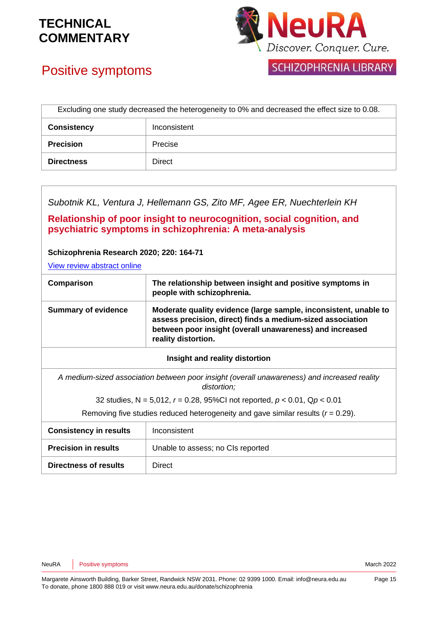

# Positive symptoms

**SCHIZOPHRENIA LIBRARY** 

| Excluding one study decreased the heterogeneity to 0% and decreased the effect size to 0.08. |              |
|----------------------------------------------------------------------------------------------|--------------|
| <b>Consistency</b>                                                                           | Inconsistent |
| <b>Precision</b>                                                                             | Precise      |
| <b>Directness</b>                                                                            | Direct       |

*Subotnik KL, Ventura J, Hellemann GS, Zito MF, Agee ER, Nuechterlein KH*

**Relationship of poor insight to neurocognition, social cognition, and psychiatric symptoms in schizophrenia: A meta-analysis** 

### **Schizophrenia Research 2020; 220: 164-71**

[View review abstract online](https://pubmed.ncbi.nlm.nih.gov/32334936/)

| Comparison                 | The relationship between insight and positive symptoms in<br>people with schizophrenia.                                                                                                                           |
|----------------------------|-------------------------------------------------------------------------------------------------------------------------------------------------------------------------------------------------------------------|
| <b>Summary of evidence</b> | Moderate quality evidence (large sample, inconsistent, unable to<br>assess precision, direct) finds a medium-sized association<br>between poor insight (overall unawareness) and increased<br>reality distortion. |
|                            |                                                                                                                                                                                                                   |

### **Insight and reality distortion**

*A medium-sized association between poor insight (overall unawareness) and increased reality distortion;*

32 studies, N = 5,012, *r* = 0.28, 95%CI not reported, *p* < 0.01, Q*p* < 0.01

Removing five studies reduced heterogeneity and gave similar results (*r* = 0.29).

| <b>Consistency in results</b> | Inconsistent                      |
|-------------------------------|-----------------------------------|
| <b>Precision in results</b>   | Unable to assess; no CIs reported |
| <b>Directness of results</b>  | Direct                            |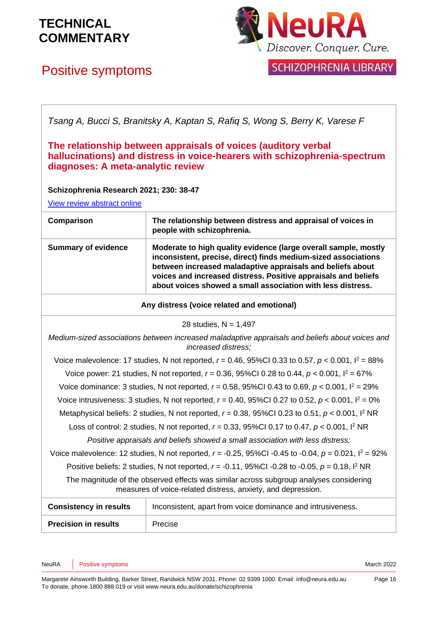# Positive symptoms



**SCHIZOPHRENIA LIBRARY** 

*Tsang A, Bucci S, Branitsky A, Kaptan S, Rafiq S, Wong S, Berry K, Varese F*

### **The relationship between appraisals of voices (auditory verbal hallucinations) and distress in voice-hearers with schizophrenia-spectrum diagnoses: A meta-analytic review**

### **Schizophrenia Research 2021; 230: 38-47**

[View review abstract online](https://pubmed.ncbi.nlm.nih.gov/33667857/)

| Comparison                 | The relationship between distress and appraisal of voices in<br>people with schizophrenia.                                                                                                                                                                                                                                       |
|----------------------------|----------------------------------------------------------------------------------------------------------------------------------------------------------------------------------------------------------------------------------------------------------------------------------------------------------------------------------|
| <b>Summary of evidence</b> | Moderate to high quality evidence (large overall sample, mostly<br>inconsistent, precise, direct) finds medium-sized associations<br>between increased maladaptive appraisals and beliefs about<br>voices and increased distress. Positive appraisals and beliefs<br>about voices showed a small association with less distress. |
|                            |                                                                                                                                                                                                                                                                                                                                  |

**Any distress (voice related and emotional)**

28 studies,  $N = 1,497$ 

*Medium-sized associations between increased maladaptive appraisals and beliefs about voices and increased distress;*

Voice malevolence: 17 studies, N not reported, *r* = 0.46, 95%CI 0.33 to 0.57, *p* < 0.001, I<sup>2</sup> = 88%

Voice power: 21 studies, N not reported, *r* = 0.36, 95%CI 0.28 to 0.44, *p* < 0.001, I<sup>2</sup> = 67%

Voice dominance: 3 studies, N not reported, *r* = 0.58, 95%CI 0.43 to 0.69, *p* < 0.001, I<sup>2</sup> = 29%

Voice intrusiveness: 3 studies, N not reported, *r* = 0.40, 95%CI 0.27 to 0.52, *p* < 0.001, I<sup>2</sup> = 0%

Metaphysical beliefs: 2 studies, N not reported, *r* = 0.38, 95%CI 0.23 to 0.51, *p* < 0.001, I<sup>2</sup> NR

Loss of control: 2 studies, N not reported, *r* = 0.33, 95%CI 0.17 to 0.47, *p* < 0.001, I<sup>2</sup> NR

*Positive appraisals and beliefs showed a small association with less distress;*

Voice malevolence: 12 studies, N not reported, *r* = -0.25, 95%CI -0.45 to -0.04, *p* = 0.021, I<sup>2</sup> = 92%

Positive beliefs: 2 studies, N not reported, *r* = -0.11, 95%CI -0.28 to -0.05, *p* = 0.18, I<sup>2</sup> NR

The magnitude of the observed effects was similar across subgroup analyses considering measures of voice-related distress, anxiety, and depression.

| <b>Consistency in results</b> | Inconsistent, apart from voice dominance and intrusiveness. |
|-------------------------------|-------------------------------------------------------------|
| <b>Precision in results</b>   | Precise                                                     |

NeuRA | Positive symptoms **March 2022 March 2022**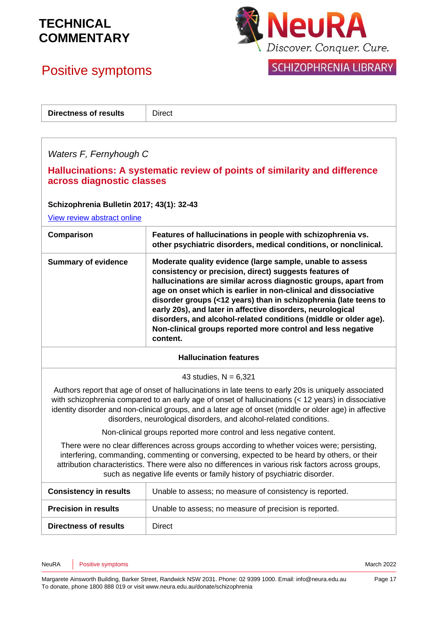# Positive symptoms



## SCHIZOPHRENIA LIBRARY

| <b>Directness of results</b> | <b>Direct</b> |
|------------------------------|---------------|
|                              |               |
|                              |               |

### *Waters F, Fernyhough C*

### **Hallucinations: A systematic review of points of similarity and difference across diagnostic classes**

### **Schizophrenia Bulletin 2017; 43(1): 32-43**

[View review abstract online](https://www.ncbi.nlm.nih.gov/pubmed/27872259)

| Comparison                                                                                                                                                                                                                                                                                                                                                                  | Features of hallucinations in people with schizophrenia vs.<br>other psychiatric disorders, medical conditions, or nonclinical.                                                                                                                                                                                                                                                                                                                                                                                                           |  |
|-----------------------------------------------------------------------------------------------------------------------------------------------------------------------------------------------------------------------------------------------------------------------------------------------------------------------------------------------------------------------------|-------------------------------------------------------------------------------------------------------------------------------------------------------------------------------------------------------------------------------------------------------------------------------------------------------------------------------------------------------------------------------------------------------------------------------------------------------------------------------------------------------------------------------------------|--|
| <b>Summary of evidence</b>                                                                                                                                                                                                                                                                                                                                                  | Moderate quality evidence (large sample, unable to assess<br>consistency or precision, direct) suggests features of<br>hallucinations are similar across diagnostic groups, apart from<br>age on onset which is earlier in non-clinical and dissociative<br>disorder groups (<12 years) than in schizophrenia (late teens to<br>early 20s), and later in affective disorders, neurological<br>disorders, and alcohol-related conditions (middle or older age).<br>Non-clinical groups reported more control and less negative<br>content. |  |
| <b>Hallucination features</b>                                                                                                                                                                                                                                                                                                                                               |                                                                                                                                                                                                                                                                                                                                                                                                                                                                                                                                           |  |
| 43 studies, $N = 6,321$                                                                                                                                                                                                                                                                                                                                                     |                                                                                                                                                                                                                                                                                                                                                                                                                                                                                                                                           |  |
|                                                                                                                                                                                                                                                                                                                                                                             | Authors report that age of onset of hallucinations in late teens to early 20s is uniquely associated<br>with schizophrenia compared to an early age of onset of hallucinations (< 12 years) in dissociative<br>identity disorder and non-clinical groups, and a later age of onset (middle or older age) in affective<br>disorders, neurological disorders, and alcohol-related conditions.                                                                                                                                               |  |
| Non-clinical groups reported more control and less negative content.                                                                                                                                                                                                                                                                                                        |                                                                                                                                                                                                                                                                                                                                                                                                                                                                                                                                           |  |
| There were no clear differences across groups according to whether voices were; persisting,<br>interfering, commanding, commenting or conversing, expected to be heard by others, or their<br>attribution characteristics. There were also no differences in various risk factors across groups,<br>such as negative life events or family history of psychiatric disorder. |                                                                                                                                                                                                                                                                                                                                                                                                                                                                                                                                           |  |
| <b>Consistency in results</b>                                                                                                                                                                                                                                                                                                                                               | Unable to assess; no measure of consistency is reported.                                                                                                                                                                                                                                                                                                                                                                                                                                                                                  |  |

| <b>Consistency in results</b> | Unable to assess; no measure of consistency is reported. |
|-------------------------------|----------------------------------------------------------|
| <b>Precision in results</b>   | Unable to assess; no measure of precision is reported.   |
| <b>Directness of results</b>  | Direct                                                   |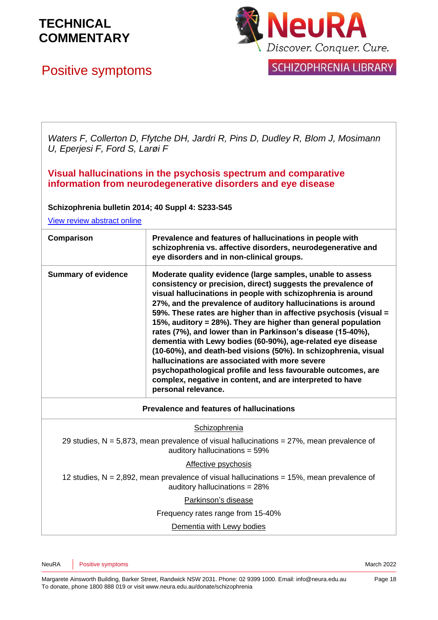# Positive symptoms



SCHIZOPHRENIA LIBRARY

*Waters F, Collerton D, Ffytche DH, Jardri R, Pins D, Dudley R, Blom J, Mosimann U, Eperjesi F, Ford S, Larøi F*

**Visual hallucinations in the psychosis spectrum and comparative information from neurodegenerative disorders and eye disease** 

**Schizophrenia bulletin 2014; 40 Suppl 4: S233-S45**

[View review abstract online](https://pubmed.ncbi.nlm.nih.gov/24936084/)

| Comparison                                                                                                                        | Prevalence and features of hallucinations in people with<br>schizophrenia vs. affective disorders, neurodegenerative and<br>eye disorders and in non-clinical groups.                                                                                                                                                                                                                                                                                                                                                                                                                                                                                                                                                                                                                                   |
|-----------------------------------------------------------------------------------------------------------------------------------|---------------------------------------------------------------------------------------------------------------------------------------------------------------------------------------------------------------------------------------------------------------------------------------------------------------------------------------------------------------------------------------------------------------------------------------------------------------------------------------------------------------------------------------------------------------------------------------------------------------------------------------------------------------------------------------------------------------------------------------------------------------------------------------------------------|
| <b>Summary of evidence</b>                                                                                                        | Moderate quality evidence (large samples, unable to assess<br>consistency or precision, direct) suggests the prevalence of<br>visual hallucinations in people with schizophrenia is around<br>27%, and the prevalence of auditory hallucinations is around<br>59%. These rates are higher than in affective psychosis (visual =<br>15%, auditory = 28%). They are higher than general population<br>rates (7%), and lower than in Parkinson's disease (15-40%),<br>dementia with Lewy bodies (60-90%), age-related eye disease<br>(10-60%), and death-bed visions (50%). In schizophrenia, visual<br>hallucinations are associated with more severe<br>psychopathological profile and less favourable outcomes, are<br>complex, negative in content, and are interpreted to have<br>personal relevance. |
| <b>Prevalence and features of hallucinations</b>                                                                                  |                                                                                                                                                                                                                                                                                                                                                                                                                                                                                                                                                                                                                                                                                                                                                                                                         |
| Schizophrenia                                                                                                                     |                                                                                                                                                                                                                                                                                                                                                                                                                                                                                                                                                                                                                                                                                                                                                                                                         |
| 29 studies, $N = 5.873$ , mean prevalence of visual hallucinations = $27\%$ , mean prevalence of<br>auditory hallucinations = 59% |                                                                                                                                                                                                                                                                                                                                                                                                                                                                                                                                                                                                                                                                                                                                                                                                         |
| Affective psychosis                                                                                                               |                                                                                                                                                                                                                                                                                                                                                                                                                                                                                                                                                                                                                                                                                                                                                                                                         |
| 12 studies, $N = 2,892$ , mean prevalence of visual hallucinations = 15%, mean prevalence of<br>auditory hallucinations = 28%     |                                                                                                                                                                                                                                                                                                                                                                                                                                                                                                                                                                                                                                                                                                                                                                                                         |
| Parkinson's disease                                                                                                               |                                                                                                                                                                                                                                                                                                                                                                                                                                                                                                                                                                                                                                                                                                                                                                                                         |
| Frequency rates range from 15-40%                                                                                                 |                                                                                                                                                                                                                                                                                                                                                                                                                                                                                                                                                                                                                                                                                                                                                                                                         |
| Dementia with Lewy bodies                                                                                                         |                                                                                                                                                                                                                                                                                                                                                                                                                                                                                                                                                                                                                                                                                                                                                                                                         |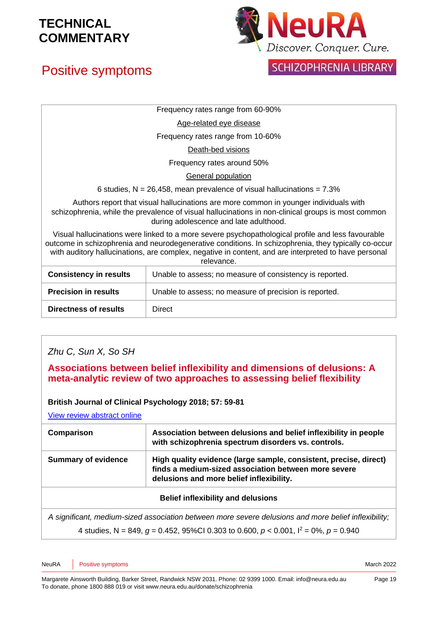# Positive symptoms



## **SCHIZOPHRENIA LIBRARY**

Frequency rates range from 60-90%

Age-related eye disease

Frequency rates range from 10-60%

Death-bed visions

Frequency rates around 50%

General population

6 studies,  $N = 26,458$ , mean prevalence of visual hallucinations =  $7.3\%$ 

Authors report that visual hallucinations are more common in younger individuals with schizophrenia, while the prevalence of visual hallucinations in non-clinical groups is most common during adolescence and late adulthood.

Visual hallucinations were linked to a more severe psychopathological profile and less favourable outcome in schizophrenia and neurodegenerative conditions. In schizophrenia, they typically co-occur with auditory hallucinations, are complex, negative in content, and are interpreted to have personal relevance.

| <b>Consistency in results</b> | Unable to assess; no measure of consistency is reported. |
|-------------------------------|----------------------------------------------------------|
| <b>Precision in results</b>   | Unable to assess; no measure of precision is reported.   |
| <b>Directness of results</b>  | Direct                                                   |

### *Zhu C, Sun X, So SH*

### **Associations between belief inflexibility and dimensions of delusions: A meta-analytic review of two approaches to assessing belief flexibility**

### **British Journal of Clinical Psychology 2018; 57: 59-81**

[View review abstract online](https://www.ncbi.nlm.nih.gov/pubmed/28805246)

| Comparison                 | Association between delusions and belief inflexibility in people<br>with schizophrenia spectrum disorders vs. controls.                                               |
|----------------------------|-----------------------------------------------------------------------------------------------------------------------------------------------------------------------|
| <b>Summary of evidence</b> | High quality evidence (large sample, consistent, precise, direct)<br>finds a medium-sized association between more severe<br>delusions and more belief inflexibility. |
|                            |                                                                                                                                                                       |

### **Belief inflexibility and delusions**

*A significant, medium-sized association between more severe delusions and more belief inflexibility;* 4 studies, N = 849,  $q = 0.452$ , 95%CI 0.303 to 0.600,  $p < 0.001$ ,  $l^2 = 0$ %,  $p = 0.940$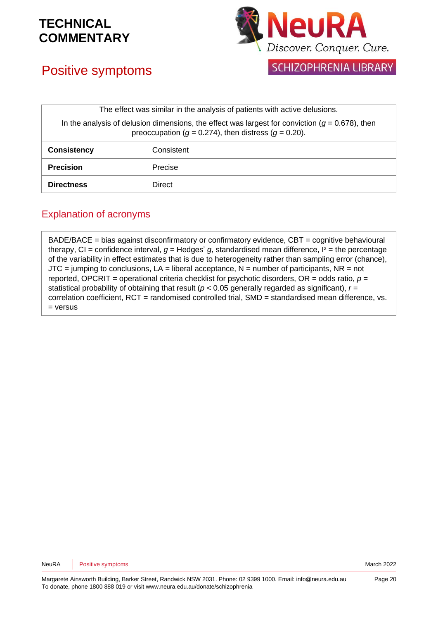# Positive symptoms



SCHIZOPHRENIA LIBRARY

| The effect was similar in the analysis of patients with active delusions.                                                                                          |            |  |
|--------------------------------------------------------------------------------------------------------------------------------------------------------------------|------------|--|
| In the analysis of delusion dimensions, the effect was largest for conviction $(g = 0.678)$ , then<br>preoccupation ( $g = 0.274$ ), then distress ( $g = 0.20$ ). |            |  |
| <b>Consistency</b>                                                                                                                                                 | Consistent |  |
| <b>Precision</b>                                                                                                                                                   | Precise    |  |
| <b>Directness</b>                                                                                                                                                  | Direct     |  |

### Explanation of acronyms

BADE/BACE = bias against disconfirmatory or confirmatory evidence, CBT = cognitive behavioural therapy,  $CI =$  confidence interval,  $g =$  Hedges'  $g$ , standardised mean difference,  $I^2 =$  the percentage of the variability in effect estimates that is due to heterogeneity rather than sampling error (chance),  $JTC =$  jumping to conclusions,  $LA =$  liberal acceptance,  $N =$  number of participants,  $NR =$  not reported, OPCRIT *=* operational criteria checklist for psychotic disorders, OR = odds ratio, *p* = statistical probability of obtaining that result (*p* < 0.05 generally regarded as significant), *r* = correlation coefficient, RCT = randomised controlled trial, SMD = standardised mean difference, vs. = versus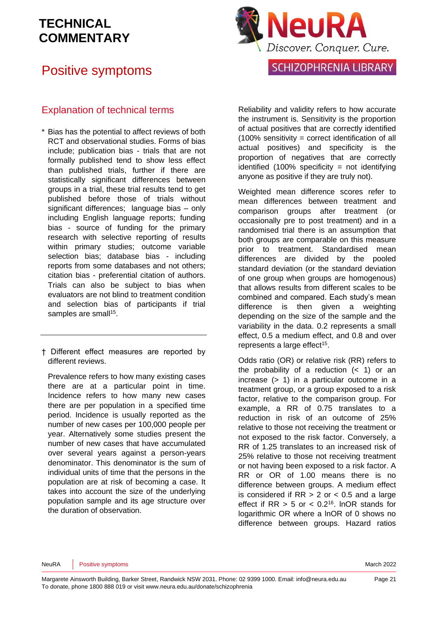## Positive symptoms



### Explanation of technical terms

- \* Bias has the potential to affect reviews of both RCT and observational studies. Forms of bias include; publication bias - trials that are not formally published tend to show less effect than published trials, further if there are statistically significant differences between groups in a trial, these trial results tend to get published before those of trials without significant differences; language bias – only including English language reports; funding bias - source of funding for the primary research with selective reporting of results within primary studies; outcome variable selection bias; database bias - including reports from some databases and not others; citation bias - preferential citation of authors. Trials can also be subject to bias when evaluators are not blind to treatment condition and selection bias of participants if trial samples are small<sup>15</sup>.
- † Different effect measures are reported by different reviews.

Prevalence refers to how many existing cases there are at a particular point in time. Incidence refers to how many new cases there are per population in a specified time period. Incidence is usually reported as the number of new cases per 100,000 people per year. Alternatively some studies present the number of new cases that have accumulated over several years against a person-years denominator. This denominator is the sum of individual units of time that the persons in the population are at risk of becoming a case. It takes into account the size of the underlying population sample and its age structure over the duration of observation.

Reliability and validity refers to how accurate the instrument is. Sensitivity is the proportion of actual positives that are correctly identified  $(100\%$  sensitivity = correct identification of all actual positives) and specificity is the proportion of negatives that are correctly identified  $(100\%$  specificity = not identifying anyone as positive if they are truly not).

Weighted mean difference scores refer to mean differences between treatment and comparison groups after treatment (or occasionally pre to post treatment) and in a randomised trial there is an assumption that both groups are comparable on this measure prior to treatment. Standardised mean differences are divided by the pooled standard deviation (or the standard deviation of one group when groups are homogenous) that allows results from different scales to be combined and compared. Each study's mean difference is then given a weighting depending on the size of the sample and the variability in the data. 0.2 represents a small effect, 0.5 a medium effect, and 0.8 and over represents a large effect<sup>15</sup>.

Odds ratio (OR) or relative risk (RR) refers to the probability of a reduction  $( $1$ )$  or an increase (> 1) in a particular outcome in a treatment group, or a group exposed to a risk factor, relative to the comparison group. For example, a RR of 0.75 translates to a reduction in risk of an outcome of 25% relative to those not receiving the treatment or not exposed to the risk factor. Conversely, a RR of 1.25 translates to an increased risk of 25% relative to those not receiving treatment or not having been exposed to a risk factor. A RR or OR of 1.00 means there is no difference between groups. A medium effect is considered if  $RR > 2$  or  $< 0.5$  and a large effect if  $RR > 5$  or  $< 0.2<sup>16</sup>$ . InOR stands for logarithmic OR where a lnOR of 0 shows no difference between groups. Hazard ratios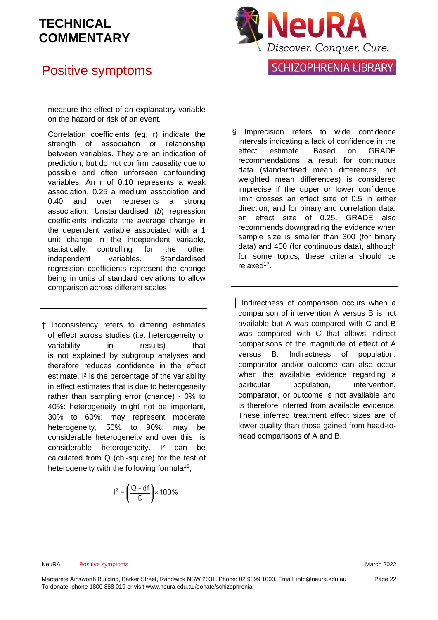## Positive symptoms



measure the effect of an explanatory variable on the hazard or risk of an event.

Correlation coefficients (eg, r) indicate the strength of association or relationship between variables. They are an indication of prediction, but do not confirm causality due to possible and often unforseen confounding variables. An r of 0.10 represents a weak association, 0.25 a medium association and 0.40 and over represents a strong association. Unstandardised (*b*) regression coefficients indicate the average change in the dependent variable associated with a 1 unit change in the independent variable, statistically controlling for the other independent variables. Standardised regression coefficients represent the change being in units of standard deviations to allow comparison across different scales.

‡ Inconsistency refers to differing estimates of effect across studies (i.e. heterogeneity or variability in results) that is not explained by subgroup analyses and therefore reduces confidence in the effect estimate. I² is the percentage of the variability in effect estimates that is due to heterogeneity rather than sampling error (chance) - 0% to 40%: heterogeneity might not be important, 30% to 60%: may represent moderate heterogeneity, 50% to 90%: may be considerable heterogeneity and over this is considerable heterogeneity. I² can be calculated from Q (chi-square) for the test of heterogeneity with the following formula<sup>15</sup>;

$$
r^2 = \left(\frac{Q - df}{Q}\right) \times 100\%
$$

- § Imprecision refers to wide confidence intervals indicating a lack of confidence in the effect estimate. Based on GRADE recommendations, a result for continuous data (standardised mean differences, not weighted mean differences) is considered imprecise if the upper or lower confidence limit crosses an effect size of 0.5 in either direction, and for binary and correlation data, an effect size of 0.25. GRADE also recommends downgrading the evidence when sample size is smaller than 300 (for binary data) and 400 (for continuous data), although for some topics, these criteria should be relaxed<sup>17</sup>.
- ║ Indirectness of comparison occurs when a comparison of intervention A versus B is not available but A was compared with C and B was compared with C that allows indirect comparisons of the magnitude of effect of A versus B. Indirectness of population, comparator and/or outcome can also occur when the available evidence regarding a particular population, intervention, comparator, or outcome is not available and is therefore inferred from available evidence. These inferred treatment effect sizes are of lower quality than those gained from head-tohead comparisons of A and B.

NeuRA Positive symptoms **National Structure of the COVID-Structure of the COVID-Structure of the COVID-Structure of the COVID-Structure of the March 2022**